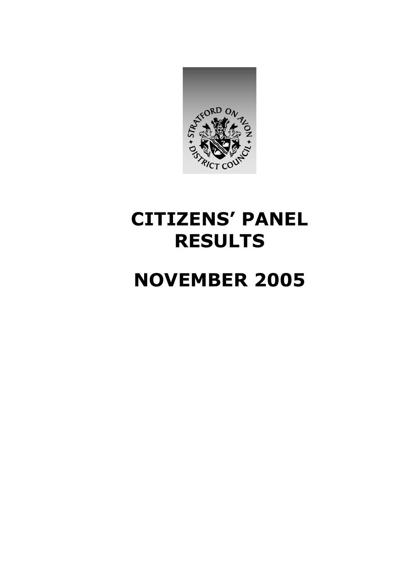

# **CITIZENS' PANEL RESULTS**

# **NOVEMBER 2005**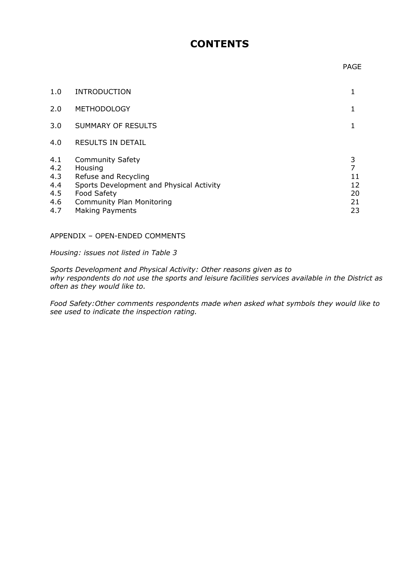# **CONTENTS**

#### **PAGE**

| 1.0                                           | <b>INTRODUCTION</b>                                                                                                                                                          |                                      |
|-----------------------------------------------|------------------------------------------------------------------------------------------------------------------------------------------------------------------------------|--------------------------------------|
| 2.0                                           | <b>METHODOLOGY</b>                                                                                                                                                           | 1                                    |
| 3.0                                           | SUMMARY OF RESULTS                                                                                                                                                           |                                      |
| 4.0                                           | <b>RESULTS IN DETAIL</b>                                                                                                                                                     |                                      |
| 4.1<br>4.2<br>4.3<br>4.4<br>4.5<br>4.6<br>4.7 | <b>Community Safety</b><br>Housing<br>Refuse and Recycling<br>Sports Development and Physical Activity<br>Food Safety<br>Community Plan Monitoring<br><b>Making Payments</b> | 3<br>7<br>11<br>12<br>20<br>21<br>23 |

# APPENDIX – OPEN-ENDED COMMENTS

*Housing: issues not listed in Table 3* 

*Sports Development and Physical Activity: Other reasons given as to why respondents do not use the sports and leisure facilities services available in the District as often as they would like to.* 

*Food Safety:Other comments respondents made when asked what symbols they would like to see used to indicate the inspection rating.*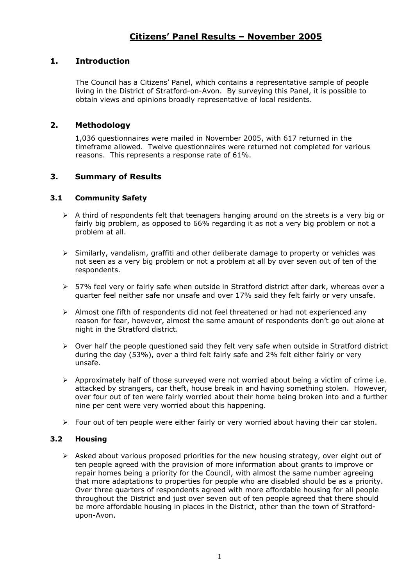# **1. Introduction**

The Council has a Citizens' Panel, which contains a representative sample of people living in the District of Stratford-on-Avon. By surveying this Panel, it is possible to obtain views and opinions broadly representative of local residents.

# **2. Methodology**

1,036 questionnaires were mailed in November 2005, with 617 returned in the timeframe allowed. Twelve questionnaires were returned not completed for various reasons. This represents a response rate of 61%.

# **3. Summary of Results**

# **3.1 Community Safety**

- $\triangleright$  A third of respondents felt that teenagers hanging around on the streets is a very big or fairly big problem, as opposed to 66% regarding it as not a very big problem or not a problem at all.
- $\triangleright$  Similarly, vandalism, graffiti and other deliberate damage to property or vehicles was not seen as a very big problem or not a problem at all by over seven out of ten of the respondents.
- ¾ 57% feel very or fairly safe when outside in Stratford district after dark, whereas over a quarter feel neither safe nor unsafe and over 17% said they felt fairly or very unsafe.
- $\triangleright$  Almost one fifth of respondents did not feel threatened or had not experienced any reason for fear, however, almost the same amount of respondents don't go out alone at night in the Stratford district.
- ¾ Over half the people questioned said they felt very safe when outside in Stratford district during the day (53%), over a third felt fairly safe and 2% felt either fairly or very unsafe.
- $\triangleright$  Approximately half of those surveyed were not worried about being a victim of crime i.e. attacked by strangers, car theft, house break in and having something stolen. However, over four out of ten were fairly worried about their home being broken into and a further nine per cent were very worried about this happening.
- ¾ Four out of ten people were either fairly or very worried about having their car stolen.

# **3.2 Housing**

 $\triangleright$  Asked about various proposed priorities for the new housing strategy, over eight out of ten people agreed with the provision of more information about grants to improve or repair homes being a priority for the Council, with almost the same number agreeing that more adaptations to properties for people who are disabled should be as a priority. Over three quarters of respondents agreed with more affordable housing for all people throughout the District and just over seven out of ten people agreed that there should be more affordable housing in places in the District, other than the town of Stratfordupon-Avon.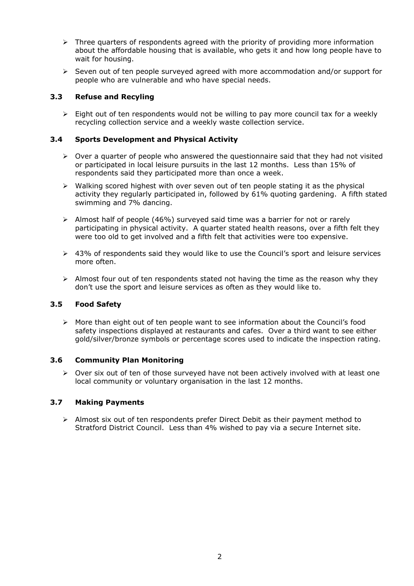- $\triangleright$  Three quarters of respondents agreed with the priority of providing more information about the affordable housing that is available, who gets it and how long people have to wait for housing.
- $\triangleright$  Seven out of ten people surveyed agreed with more accommodation and/or support for people who are vulnerable and who have special needs.

# **3.3 Refuse and Recyling**

 $\geq$  Eight out of ten respondents would not be willing to pay more council tax for a weekly recycling collection service and a weekly waste collection service.

# **3.4 Sports Development and Physical Activity**

- $\triangleright$  Over a quarter of people who answered the questionnaire said that they had not visited or participated in local leisure pursuits in the last 12 months. Less than 15% of respondents said they participated more than once a week.
- $\triangleright$  Walking scored highest with over seven out of ten people stating it as the physical activity they regularly participated in, followed by 61% quoting gardening. A fifth stated swimming and 7% dancing.
- $\triangleright$  Almost half of people (46%) surveyed said time was a barrier for not or rarely participating in physical activity. A quarter stated health reasons, over a fifth felt they were too old to get involved and a fifth felt that activities were too expensive.
- $\geq$  43% of respondents said they would like to use the Council's sport and leisure services more often.
- $\triangleright$  Almost four out of ten respondents stated not having the time as the reason why they don't use the sport and leisure services as often as they would like to.

### **3.5 Food Safety**

 $\triangleright$  More than eight out of ten people want to see information about the Council's food safety inspections displayed at restaurants and cafes. Over a third want to see either gold/silver/bronze symbols or percentage scores used to indicate the inspection rating.

#### **3.6 Community Plan Monitoring**

¾ Over six out of ten of those surveyed have not been actively involved with at least one local community or voluntary organisation in the last 12 months.

#### **3.7 Making Payments**

 $\triangleright$  Almost six out of ten respondents prefer Direct Debit as their payment method to Stratford District Council. Less than 4% wished to pay via a secure Internet site.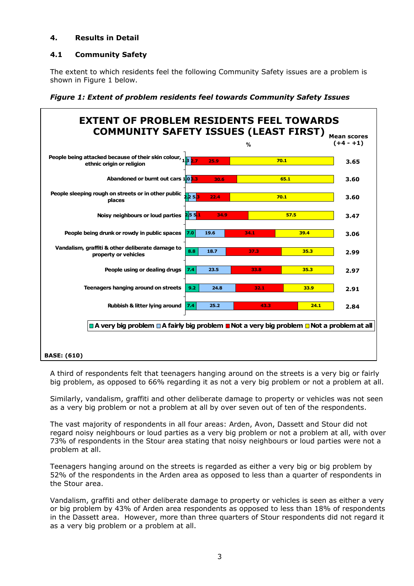# **4. Results in Detail**

# **4.1 Community Safety**

The extent to which residents feel the following Community Safety issues are a problem is shown in Figure 1 below.



*Figure 1: Extent of problem residents feel towards Community Safety Issues*

A third of respondents felt that teenagers hanging around on the streets is a very big or fairly big problem, as opposed to 66% regarding it as not a very big problem or not a problem at all.

Similarly, vandalism, graffiti and other deliberate damage to property or vehicles was not seen as a very big problem or not a problem at all by over seven out of ten of the respondents.

The vast majority of respondents in all four areas: Arden, Avon, Dassett and Stour did not regard noisy neighbours or loud parties as a very big problem or not a problem at all, with over 73% of respondents in the Stour area stating that noisy neighbours or loud parties were not a problem at all.

Teenagers hanging around on the streets is regarded as either a very big or big problem by 52% of the respondents in the Arden area as opposed to less than a quarter of respondents in the Stour area.

Vandalism, graffiti and other deliberate damage to property or vehicles is seen as either a very or big problem by 43% of Arden area respondents as opposed to less than 18% of respondents in the Dassett area. However, more than three quarters of Stour respondents did not regard it as a very big problem or a problem at all.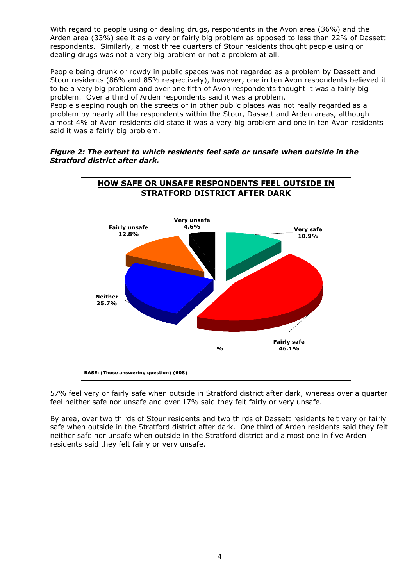With regard to people using or dealing drugs, respondents in the Avon area (36%) and the Arden area (33%) see it as a very or fairly big problem as opposed to less than 22% of Dassett respondents. Similarly, almost three quarters of Stour residents thought people using or dealing drugs was not a very big problem or not a problem at all.

People being drunk or rowdy in public spaces was not regarded as a problem by Dassett and Stour residents (86% and 85% respectively), however, one in ten Avon respondents believed it to be a very big problem and over one fifth of Avon respondents thought it was a fairly big problem. Over a third of Arden respondents said it was a problem.

People sleeping rough on the streets or in other public places was not really regarded as a problem by nearly all the respondents within the Stour, Dassett and Arden areas, although almost 4% of Avon residents did state it was a very big problem and one in ten Avon residents said it was a fairly big problem.





57% feel very or fairly safe when outside in Stratford district after dark, whereas over a quarter feel neither safe nor unsafe and over 17% said they felt fairly or very unsafe.

By area, over two thirds of Stour residents and two thirds of Dassett residents felt very or fairly safe when outside in the Stratford district after dark. One third of Arden residents said they felt neither safe nor unsafe when outside in the Stratford district and almost one in five Arden residents said they felt fairly or very unsafe.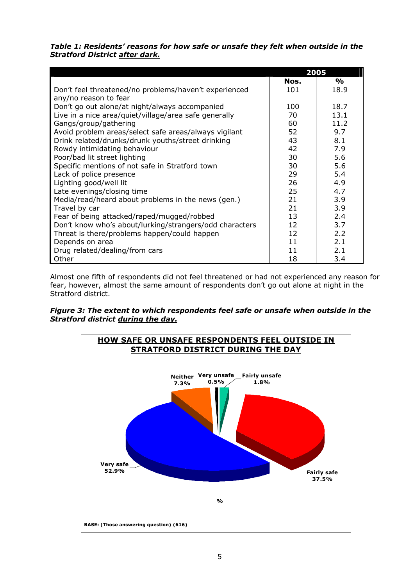|                                                                                |      | 2005          |
|--------------------------------------------------------------------------------|------|---------------|
|                                                                                | Nos. | $\frac{1}{2}$ |
| Don't feel threatened/no problems/haven't experienced<br>any/no reason to fear | 101  | 18.9          |
| Don't go out alone/at night/always accompanied                                 | 100  | 18.7          |
| Live in a nice area/quiet/village/area safe generally                          | 70   | 13.1          |
| Gangs/group/gathering                                                          | 60   | 11.2          |
| Avoid problem areas/select safe areas/always vigilant                          | 52   | 9.7           |
| Drink related/drunks/drunk youths/street drinking                              | 43   | 8.1           |
| Rowdy intimidating behaviour                                                   | 42   | 7.9           |
| Poor/bad lit street lighting                                                   | 30   | 5.6           |
| Specific mentions of not safe in Stratford town                                | 30   | 5.6           |
| Lack of police presence                                                        | 29   | 5.4           |
| Lighting good/well lit                                                         | 26   | 4.9           |
| Late evenings/closing time                                                     | 25   | 4.7           |
| Media/read/heard about problems in the news (gen.)                             | 21   | 3.9           |
| Travel by car                                                                  | 21   | 3.9           |
| Fear of being attacked/raped/mugged/robbed                                     | 13   | 2.4           |
| Don't know who's about/lurking/strangers/odd characters                        | 12   | 3.7           |
| Threat is there/problems happen/could happen                                   | 12   | 2.2           |
| Depends on area                                                                | 11   | 2.1           |
| Drug related/dealing/from cars                                                 | 11   | 2.1           |
| Other                                                                          | 18   | 3.4           |

*Table 1: Residents' reasons for how safe or unsafe they felt when outside in the Stratford District after dark.*

Almost one fifth of respondents did not feel threatened or had not experienced any reason for fear, however, almost the same amount of respondents don't go out alone at night in the Stratford district.

# *Figure 3: The extent to which respondents feel safe or unsafe when outside in the Stratford district during the day.*

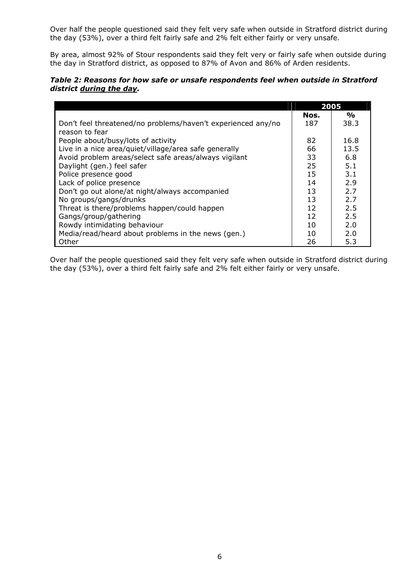Over half the people questioned said they felt very safe when outside in Stratford district during the day (53%), over a third felt fairly safe and 2% felt either fairly or very unsafe.

By area, almost 92% of Stour respondents said they felt very or fairly safe when outside during the day in Stratford district, as opposed to 87% of Avon and 86% of Arden residents.

| Table 2: Reasons for how safe or unsafe respondents feel when outside in Stratford |  |
|------------------------------------------------------------------------------------|--|
| district during the day.                                                           |  |

|                                                              | 2005 |               |
|--------------------------------------------------------------|------|---------------|
|                                                              | Nos. | $\frac{0}{0}$ |
| Don't feel threatened/no problems/haven't experienced any/no | 187  | 38.3          |
| reason to fear                                               |      |               |
| People about/busy/lots of activity                           | 82   | 16.8          |
| Live in a nice area/quiet/village/area safe generally        | 66   | 13.5          |
| Avoid problem areas/select safe areas/always vigilant        | 33   | 6.8           |
| Daylight (gen.) feel safer                                   | 25   | 5.1           |
| Police presence good                                         | 15   | 3.1           |
| Lack of police presence                                      | 14   | 2.9           |
| Don't go out alone/at night/always accompanied               | 13   | 2.7           |
| No groups/gangs/drunks                                       | 13   | 2.7           |
| Threat is there/problems happen/could happen                 | 12   | 2.5           |
| Gangs/group/gathering                                        | 12   | 2.5           |
| Rowdy intimidating behaviour                                 | 10   | 2.0           |
| Media/read/heard about problems in the news (gen.)           | 10   | 2.0           |
| Other                                                        | 26   | 5.3           |

Over half the people questioned said they felt very safe when outside in Stratford district during the day (53%), over a third felt fairly safe and 2% felt either fairly or very unsafe.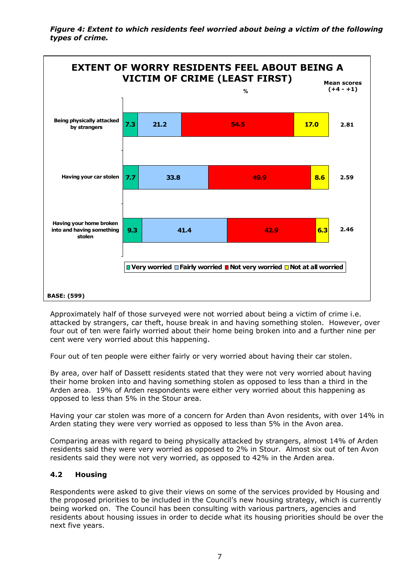*Figure 4: Extent to which residents feel worried about being a victim of the following types of crime.* 



Approximately half of those surveyed were not worried about being a victim of crime i.e. attacked by strangers, car theft, house break in and having something stolen. However, over four out of ten were fairly worried about their home being broken into and a further nine per cent were very worried about this happening.

Four out of ten people were either fairly or very worried about having their car stolen.

By area, over half of Dassett residents stated that they were not very worried about having their home broken into and having something stolen as opposed to less than a third in the Arden area. 19% of Arden respondents were either very worried about this happening as opposed to less than 5% in the Stour area.

Having your car stolen was more of a concern for Arden than Avon residents, with over 14% in Arden stating they were very worried as opposed to less than 5% in the Avon area.

Comparing areas with regard to being physically attacked by strangers, almost 14% of Arden residents said they were very worried as opposed to 2% in Stour. Almost six out of ten Avon residents said they were not very worried, as opposed to 42% in the Arden area.

# **4.2 Housing**

Respondents were asked to give their views on some of the services provided by Housing and the proposed priorities to be included in the Council's new housing strategy, which is currently being worked on. The Council has been consulting with various partners, agencies and residents about housing issues in order to decide what its housing priorities should be over the next five years.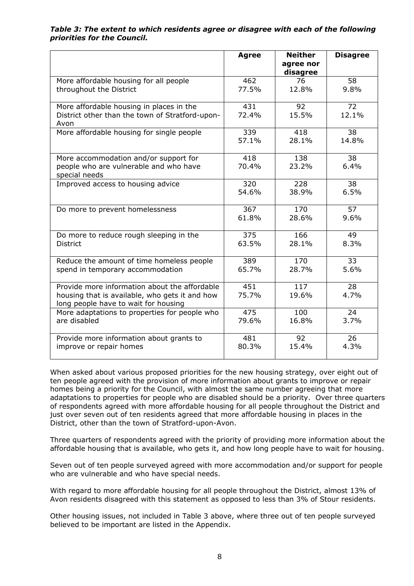*Table 3: The extent to which residents agree or disagree with each of the following priorities for the Council.* 

|                                                                                                                                         | <b>Agree</b> | <b>Neither</b><br>agree nor<br>disagree | <b>Disagree</b> |
|-----------------------------------------------------------------------------------------------------------------------------------------|--------------|-----------------------------------------|-----------------|
| More affordable housing for all people                                                                                                  | 462          | 76                                      | 58              |
| throughout the District                                                                                                                 | 77.5%        | 12.8%                                   | 9.8%            |
| More affordable housing in places in the<br>District other than the town of Stratford-upon-<br>Avon                                     | 431<br>72.4% | 92<br>15.5%                             | 72<br>12.1%     |
| More affordable housing for single people                                                                                               | 339          | 418                                     | 38              |
|                                                                                                                                         | 57.1%        | 28.1%                                   | 14.8%           |
| More accommodation and/or support for<br>people who are vulnerable and who have<br>special needs                                        | 418<br>70.4% | 138<br>23.2%                            | 38<br>6.4%      |
| Improved access to housing advice                                                                                                       | 320          | 228                                     | 38              |
|                                                                                                                                         | 54.6%        | 38.9%                                   | 6.5%            |
| Do more to prevent homelessness                                                                                                         | 367          | 170                                     | 57              |
|                                                                                                                                         | 61.8%        | 28.6%                                   | 9.6%            |
| Do more to reduce rough sleeping in the                                                                                                 | 375          | 166                                     | 49              |
| District                                                                                                                                | 63.5%        | 28.1%                                   | 8.3%            |
| Reduce the amount of time homeless people                                                                                               | 389          | 170                                     | 33              |
| spend in temporary accommodation                                                                                                        | 65.7%        | 28.7%                                   | 5.6%            |
| Provide more information about the affordable<br>housing that is available, who gets it and how<br>long people have to wait for housing | 451<br>75.7% | 117<br>19.6%                            | 28<br>4.7%      |
| More adaptations to properties for people who                                                                                           | 475          | 100                                     | 24              |
| are disabled                                                                                                                            | 79.6%        | 16.8%                                   | 3.7%            |
| Provide more information about grants to                                                                                                | 481          | 92                                      | 26              |
| improve or repair homes                                                                                                                 | 80.3%        | 15.4%                                   | 4.3%            |

When asked about various proposed priorities for the new housing strategy, over eight out of ten people agreed with the provision of more information about grants to improve or repair homes being a priority for the Council, with almost the same number agreeing that more adaptations to properties for people who are disabled should be a priority. Over three quarters of respondents agreed with more affordable housing for all people throughout the District and just over seven out of ten residents agreed that more affordable housing in places in the District, other than the town of Stratford-upon-Avon.

Three quarters of respondents agreed with the priority of providing more information about the affordable housing that is available, who gets it, and how long people have to wait for housing.

Seven out of ten people surveyed agreed with more accommodation and/or support for people who are vulnerable and who have special needs.

With regard to more affordable housing for all people throughout the District, almost 13% of Avon residents disagreed with this statement as opposed to less than 3% of Stour residents.

Other housing issues, not included in Table 3 above, where three out of ten people surveyed believed to be important are listed in the Appendix.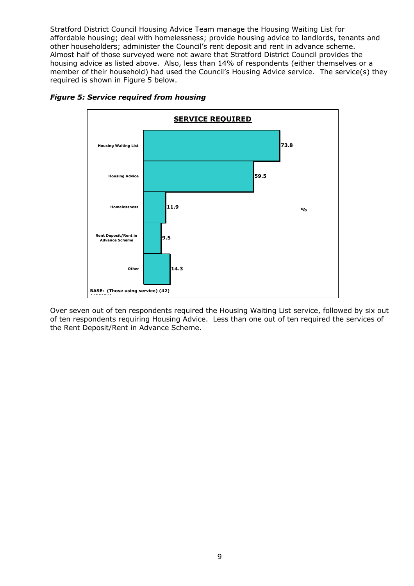Stratford District Council Housing Advice Team manage the Housing Waiting List for affordable housing; deal with homelessness; provide housing advice to landlords, tenants and other householders; administer the Council's rent deposit and rent in advance scheme. Almost half of those surveyed were not aware that Stratford District Council provides the housing advice as listed above. Also, less than 14% of respondents (either themselves or a member of their household) had used the Council's Housing Advice service. The service(s) they required is shown in Figure 5 below.



## *Figure 5: Service required from housing*

Over seven out of ten respondents required the Housing Waiting List service, followed by six out of ten respondents requiring Housing Advice. Less than one out of ten required the services of the Rent Deposit/Rent in Advance Scheme.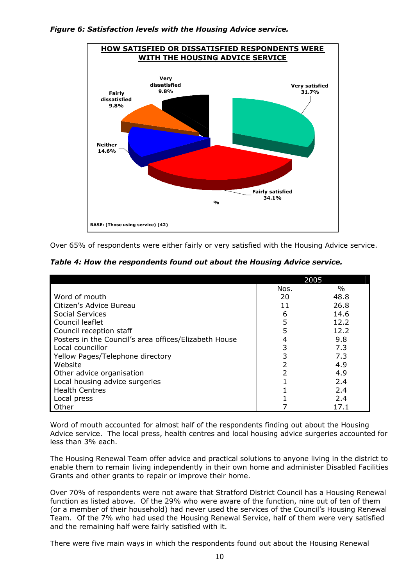#### *Figure 6: Satisfaction levels with the Housing Advice service.*



Over 65% of respondents were either fairly or very satisfied with the Housing Advice service.

*Table 4: How the respondents found out about the Housing Advice service.* 

|                                                       | 2005 |      |  |
|-------------------------------------------------------|------|------|--|
|                                                       | Nos. | $\%$ |  |
| Word of mouth                                         | 20   | 48.8 |  |
| Citizen's Advice Bureau                               | 11   | 26.8 |  |
| Social Services                                       | 6    | 14.6 |  |
| Council leaflet                                       | 5    | 12.2 |  |
| Council reception staff                               | 5    | 12.2 |  |
| Posters in the Council's area offices/Elizabeth House |      | 9.8  |  |
| Local councillor                                      | 3    | 7.3  |  |
| Yellow Pages/Telephone directory                      | 3    | 7.3  |  |
| Website                                               |      | 4.9  |  |
| Other advice organisation                             |      | 4.9  |  |
| Local housing advice surgeries                        |      | 2.4  |  |
| <b>Health Centres</b>                                 |      | 2.4  |  |
| Local press                                           |      | 2.4  |  |
| Other                                                 |      | 17.1 |  |

Word of mouth accounted for almost half of the respondents finding out about the Housing Advice service. The local press, health centres and local housing advice surgeries accounted for less than 3% each.

The Housing Renewal Team offer advice and practical solutions to anyone living in the district to enable them to remain living independently in their own home and administer Disabled Facilities Grants and other grants to repair or improve their home.

Over 70% of respondents were not aware that Stratford District Council has a Housing Renewal function as listed above. Of the 29% who were aware of the function, nine out of ten of them (or a member of their household) had never used the services of the Council's Housing Renewal Team. Of the 7% who had used the Housing Renewal Service, half of them were very satisfied and the remaining half were fairly satisfied with it.

There were five main ways in which the respondents found out about the Housing Renewal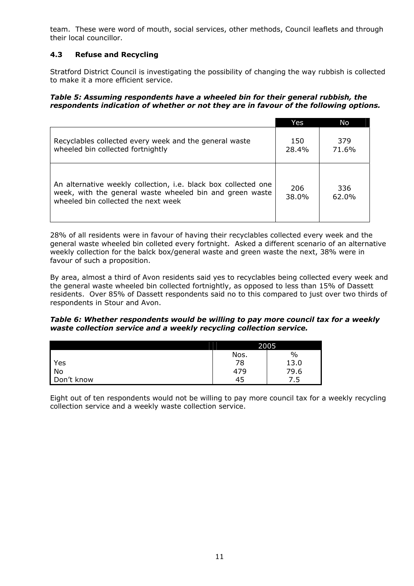team. These were word of mouth, social services, other methods, Council leaflets and through their local councillor.

# **4.3 Refuse and Recycling**

Stratford District Council is investigating the possibility of changing the way rubbish is collected to make it a more efficient service.

#### *Table 5: Assuming respondents have a wheeled bin for their general rubbish, the respondents indication of whether or not they are in favour of the following options.*

|                                                                                                                                                                   | Yes          | No           |
|-------------------------------------------------------------------------------------------------------------------------------------------------------------------|--------------|--------------|
| Recyclables collected every week and the general waste<br>wheeled bin collected fortnightly                                                                       | 150<br>28.4% | 379<br>71.6% |
| An alternative weekly collection, i.e. black box collected one<br>week, with the general waste wheeled bin and green waste<br>wheeled bin collected the next week | 206<br>38.0% | 336<br>62.0% |

28% of all residents were in favour of having their recyclables collected every week and the general waste wheeled bin colleted every fortnight. Asked a different scenario of an alternative weekly collection for the balck box/general waste and green waste the next, 38% were in favour of such a proposition.

By area, almost a third of Avon residents said yes to recyclables being collected every week and the general waste wheeled bin collected fortnightly, as opposed to less than 15% of Dassett residents. Over 85% of Dassett respondents said no to this compared to just over two thirds of respondents in Stour and Avon.

#### *Table 6: Whether respondents would be willing to pay more council tax for a weekly waste collection service and a weekly recycling collection service.*

|            | 2005 |      |  |
|------------|------|------|--|
|            | Nos. | $\%$ |  |
| Yes        | 78   | 13.0 |  |
| No         | 479  | 79.6 |  |
| Don't know | 45   | 7.5  |  |

Eight out of ten respondents would not be willing to pay more council tax for a weekly recycling collection service and a weekly waste collection service.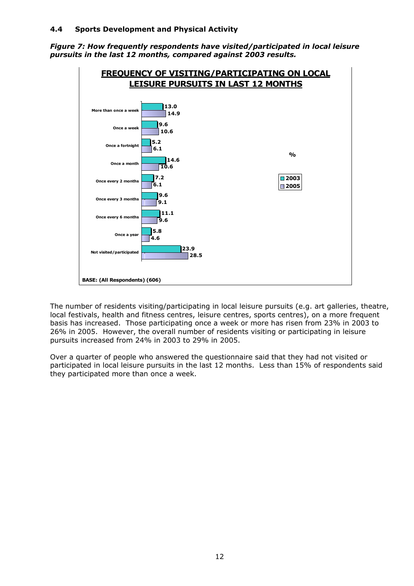# **4.4 Sports Development and Physical Activity**

*Figure 7: How frequently respondents have visited/participated in local leisure pursuits in the last 12 months, compared against 2003 results.*



The number of residents visiting/participating in local leisure pursuits (e.g. art galleries, theatre, local festivals, health and fitness centres, leisure centres, sports centres), on a more frequent basis has increased. Those participating once a week or more has risen from 23% in 2003 to 26% in 2005. However, the overall number of residents visiting or participating in leisure pursuits increased from 24% in 2003 to 29% in 2005.

Over a quarter of people who answered the questionnaire said that they had not visited or participated in local leisure pursuits in the last 12 months. Less than 15% of respondents said they participated more than once a week.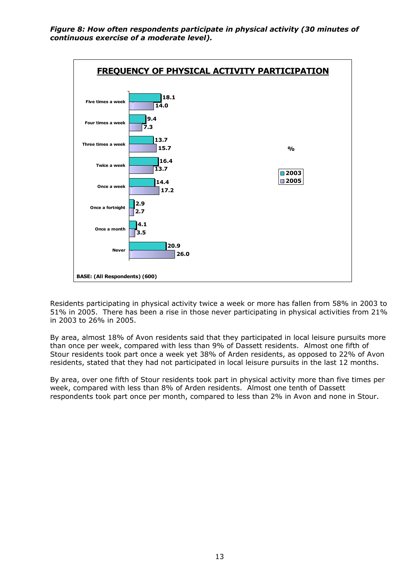*Figure 8: How often respondents participate in physical activity (30 minutes of continuous exercise of a moderate level).* 



Residents participating in physical activity twice a week or more has fallen from 58% in 2003 to 51% in 2005. There has been a rise in those never participating in physical activities from 21% in 2003 to 26% in 2005.

By area, almost 18% of Avon residents said that they participated in local leisure pursuits more than once per week, compared with less than 9% of Dassett residents. Almost one fifth of Stour residents took part once a week yet 38% of Arden residents, as opposed to 22% of Avon residents, stated that they had not participated in local leisure pursuits in the last 12 months.

By area, over one fifth of Stour residents took part in physical activity more than five times per week, compared with less than 8% of Arden residents. Almost one tenth of Dassett respondents took part once per month, compared to less than 2% in Avon and none in Stour.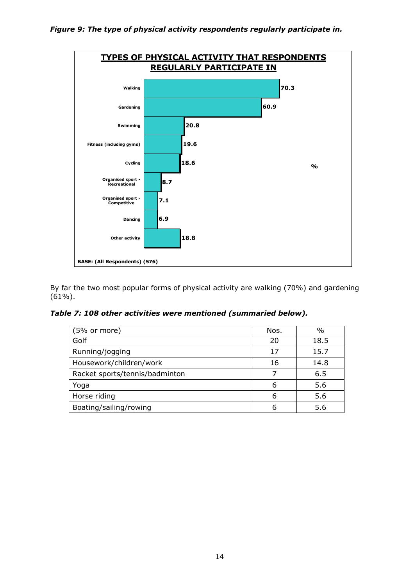

By far the two most popular forms of physical activity are walking (70%) and gardening (61%).

*Table 7: 108 other activities were mentioned (summaried below).* 

| (5% or more)                   | Nos. | %    |
|--------------------------------|------|------|
| Golf                           | 20   | 18.5 |
| Running/jogging                | 17   | 15.7 |
| Housework/children/work        | 16   | 14.8 |
| Racket sports/tennis/badminton |      | 6.5  |
| Yoga                           | 6    | 5.6  |
| Horse riding                   | 6    | 5.6  |
| Boating/sailing/rowing         | 6    | 56   |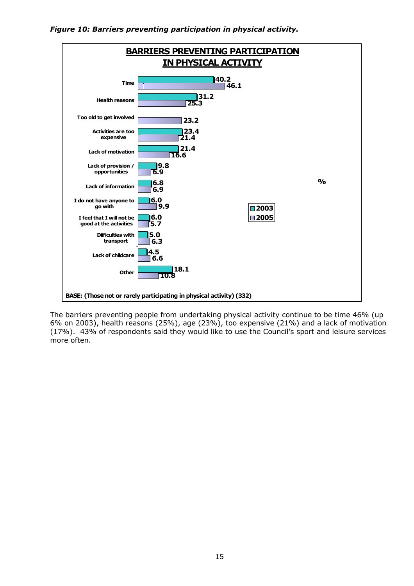



The barriers preventing people from undertaking physical activity continue to be time 46% (up 6% on 2003), health reasons (25%), age (23%), too expensive (21%) and a lack of motivation (17%). 43% of respondents said they would like to use the Council's sport and leisure services more often.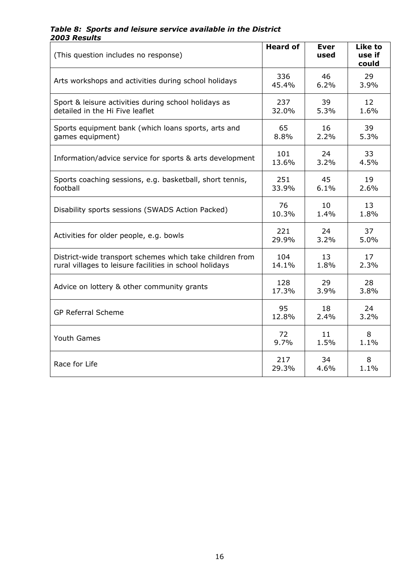# *Table 8: Sports and leisure service available in the District 2003 Results*

| (This question includes no response)                     | <b>Heard of</b> | <b>Ever</b><br>used | <b>Like to</b><br>use if<br>could |
|----------------------------------------------------------|-----------------|---------------------|-----------------------------------|
| Arts workshops and activities during school holidays     | 336             | 46                  | 29                                |
|                                                          | 45.4%           | 6.2%                | 3.9%                              |
| Sport & leisure activities during school holidays as     | 237             | 39                  | 12                                |
| detailed in the Hi Five leaflet                          | 32.0%           | 5.3%                | 1.6%                              |
| Sports equipment bank (which loans sports, arts and      | 65              | 16                  | 39                                |
| games equipment)                                         | 8.8%            | 2.2%                | 5.3%                              |
| Information/advice service for sports & arts development | 101             | 24                  | 33                                |
|                                                          | 13.6%           | 3.2%                | 4.5%                              |
| Sports coaching sessions, e.g. basketball, short tennis, | 251             | 45                  | 19                                |
| football                                                 | 33.9%           | 6.1%                | 2.6%                              |
| Disability sports sessions (SWADS Action Packed)         | 76              | 10                  | 13                                |
|                                                          | 10.3%           | 1.4%                | 1.8%                              |
| Activities for older people, e.g. bowls                  | 221             | 24                  | 37                                |
|                                                          | 29.9%           | 3.2%                | 5.0%                              |
| District-wide transport schemes which take children from | 104             | 13                  | 17                                |
| rural villages to leisure facilities in school holidays  | 14.1%           | 1.8%                | 2.3%                              |
| Advice on lottery & other community grants               | 128             | 29                  | 28                                |
|                                                          | 17.3%           | 3.9%                | 3.8%                              |
| <b>GP Referral Scheme</b>                                | 95              | 18                  | 24                                |
|                                                          | 12.8%           | 2.4%                | 3.2%                              |
| Youth Games                                              | 72              | 11                  | 8                                 |
|                                                          | 9.7%            | 1.5%                | 1.1%                              |
| Race for Life                                            | 217             | 34                  | 8                                 |
|                                                          | 29.3%           | 4.6%                | 1.1%                              |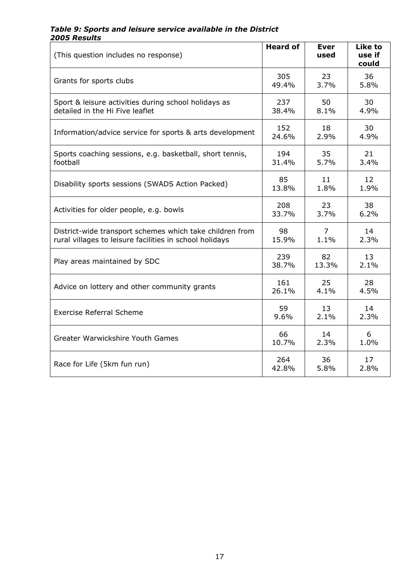# *Table 9: Sports and leisure service available in the District 2005 Results*

| (This question includes no response)                     | <b>Heard of</b> | <b>Ever</b><br>used | <b>Like to</b><br>use if<br>could |
|----------------------------------------------------------|-----------------|---------------------|-----------------------------------|
| Grants for sports clubs                                  | 305             | 23                  | 36                                |
|                                                          | 49.4%           | 3.7%                | 5.8%                              |
| Sport & leisure activities during school holidays as     | 237             | 50                  | 30                                |
| detailed in the Hi Five leaflet                          | 38.4%           | 8.1%                | 4.9%                              |
| Information/advice service for sports & arts development | 152             | 18                  | 30                                |
|                                                          | 24.6%           | 2.9%                | 4.9%                              |
| Sports coaching sessions, e.g. basketball, short tennis, | 194             | 35                  | 21                                |
| football                                                 | 31.4%           | 5.7%                | 3.4%                              |
| Disability sports sessions (SWADS Action Packed)         | 85              | 11                  | 12                                |
|                                                          | 13.8%           | 1.8%                | 1.9%                              |
| Activities for older people, e.g. bowls                  | 208             | 23                  | 38                                |
|                                                          | 33.7%           | 3.7%                | 6.2%                              |
| District-wide transport schemes which take children from | 98              | $\overline{7}$      | 14                                |
| rural villages to leisure facilities in school holidays  | 15.9%           | 1.1%                | 2.3%                              |
| Play areas maintained by SDC                             | 239             | 82                  | 13                                |
|                                                          | 38.7%           | 13.3%               | 2.1%                              |
| Advice on lottery and other community grants             | 161             | 25                  | 28                                |
|                                                          | 26.1%           | 4.1%                | 4.5%                              |
| <b>Exercise Referral Scheme</b>                          | 59              | 13                  | 14                                |
|                                                          | 9.6%            | 2.1%                | 2.3%                              |
| Greater Warwickshire Youth Games                         | 66              | 14                  | 6                                 |
|                                                          | 10.7%           | 2.3%                | 1.0%                              |
| Race for Life (5km fun run)                              | 264             | 36                  | 17                                |
|                                                          | 42.8%           | 5.8%                | 2.8%                              |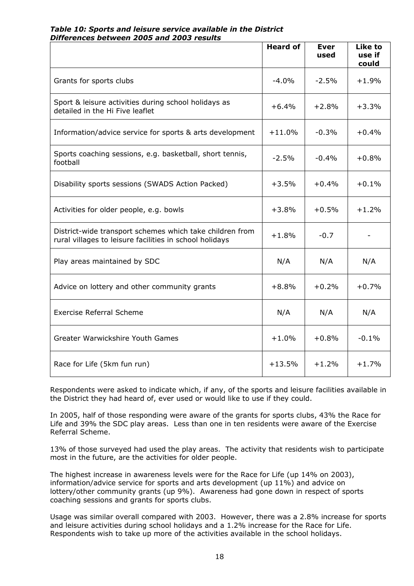# *Table 10: Sports and leisure service available in the District Differences between 2005 and 2003 results*

|                                                                                                                     | <b>Heard of</b> | <b>Ever</b><br>used | Like to<br>use if<br>could |
|---------------------------------------------------------------------------------------------------------------------|-----------------|---------------------|----------------------------|
| Grants for sports clubs                                                                                             | $-4.0%$         | $-2.5%$             | $+1.9%$                    |
| Sport & leisure activities during school holidays as<br>detailed in the Hi Five leaflet                             | $+6.4%$         | $+2.8%$             | $+3.3%$                    |
| Information/advice service for sports & arts development                                                            | $+11.0%$        | $-0.3%$             | $+0.4%$                    |
| Sports coaching sessions, e.g. basketball, short tennis,<br>football                                                | $-2.5\%$        | $-0.4%$             | $+0.8%$                    |
| Disability sports sessions (SWADS Action Packed)                                                                    | $+3.5%$         | $+0.4%$             | $+0.1%$                    |
| Activities for older people, e.g. bowls                                                                             | $+3.8%$         | $+0.5\%$            | $+1.2%$                    |
| District-wide transport schemes which take children from<br>rural villages to leisure facilities in school holidays | $+1.8%$         | $-0.7$              |                            |
| Play areas maintained by SDC                                                                                        | N/A             | N/A                 | N/A                        |
| Advice on lottery and other community grants                                                                        | $+8.8%$         | $+0.2%$             | $+0.7%$                    |
| <b>Exercise Referral Scheme</b>                                                                                     | N/A             | N/A                 | N/A                        |
| Greater Warwickshire Youth Games                                                                                    | $+1.0%$         | $+0.8%$             | $-0.1%$                    |
| Race for Life (5km fun run)                                                                                         | $+13.5%$        | $+1.2%$             | $+1.7%$                    |

Respondents were asked to indicate which, if any, of the sports and leisure facilities available in the District they had heard of, ever used or would like to use if they could.

In 2005, half of those responding were aware of the grants for sports clubs, 43% the Race for Life and 39% the SDC play areas. Less than one in ten residents were aware of the Exercise Referral Scheme.

13% of those surveyed had used the play areas. The activity that residents wish to participate most in the future, are the activities for older people.

The highest increase in awareness levels were for the Race for Life (up 14% on 2003), information/advice service for sports and arts development (up 11%) and advice on lottery/other community grants (up 9%). Awareness had gone down in respect of sports coaching sessions and grants for sports clubs.

Usage was similar overall compared with 2003. However, there was a 2.8% increase for sports and leisure activities during school holidays and a 1.2% increase for the Race for Life. Respondents wish to take up more of the activities available in the school holidays.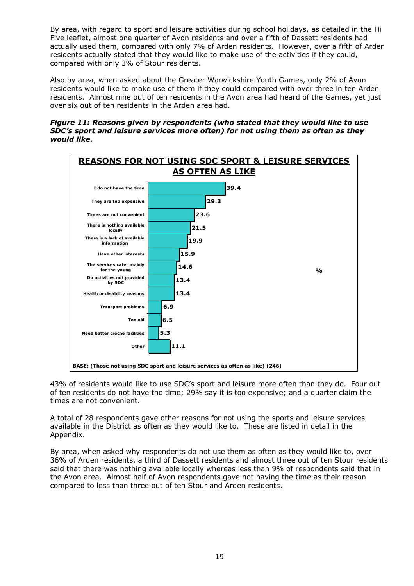By area, with regard to sport and leisure activities during school holidays, as detailed in the Hi Five leaflet, almost one quarter of Avon residents and over a fifth of Dassett residents had actually used them, compared with only 7% of Arden residents. However, over a fifth of Arden residents actually stated that they would like to make use of the activities if they could, compared with only 3% of Stour residents.

Also by area, when asked about the Greater Warwickshire Youth Games, only 2% of Avon residents would like to make use of them if they could compared with over three in ten Arden residents. Almost nine out of ten residents in the Avon area had heard of the Games, yet just over six out of ten residents in the Arden area had.

#### *Figure 11: Reasons given by respondents (who stated that they would like to use SDC's sport and leisure services more often) for not using them as often as they would like.*



43% of residents would like to use SDC's sport and leisure more often than they do. Four out of ten residents do not have the time; 29% say it is too expensive; and a quarter claim the times are not convenient.

A total of 28 respondents gave other reasons for not using the sports and leisure services available in the District as often as they would like to. These are listed in detail in the Appendix.

By area, when asked why respondents do not use them as often as they would like to, over 36% of Arden residents, a third of Dassett residents and almost three out of ten Stour residents said that there was nothing available locally whereas less than 9% of respondents said that in the Avon area. Almost half of Avon respondents gave not having the time as their reason compared to less than three out of ten Stour and Arden residents.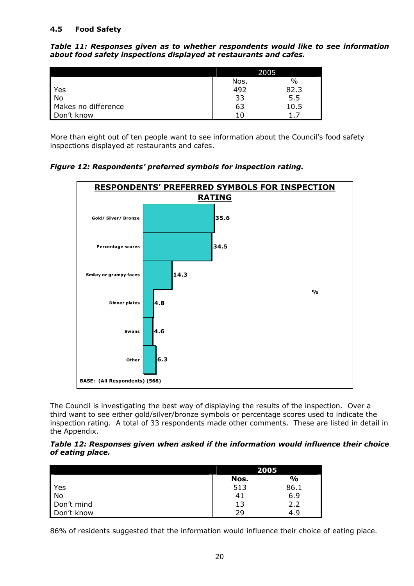# **4.5 Food Safety**

*Table 11: Responses given as to whether respondents would like to see information about food safety inspections displayed at restaurants and cafes.* 

|                     | 2005 |      |  |
|---------------------|------|------|--|
|                     | Nos. | $\%$ |  |
| Yes                 | 492  | 82.3 |  |
| <b>No</b>           | 33   | 5.5  |  |
| Makes no difference | 63   | 10.5 |  |
| Don't know          | 1 C  |      |  |

More than eight out of ten people want to see information about the Council's food safety inspections displayed at restaurants and cafes.

*Figure 12: Respondents' preferred symbols for inspection rating.* 



The Council is investigating the best way of displaying the results of the inspection. Over a third want to see either gold/silver/bronze symbols or percentage scores used to indicate the inspection rating. A total of 33 respondents made other comments. These are listed in detail in the Appendix.

*Table 12: Responses given when asked if the information would influence their choice of eating place.* 

|            | 2005 |      |
|------------|------|------|
|            | Nos. | %    |
| Yes        | 513  | 86.1 |
| No         | 41   | 6.9  |
| Don't mind | 13   | 2.2  |
| Don't know | 29   | 4.9  |

86% of residents suggested that the information would influence their choice of eating place.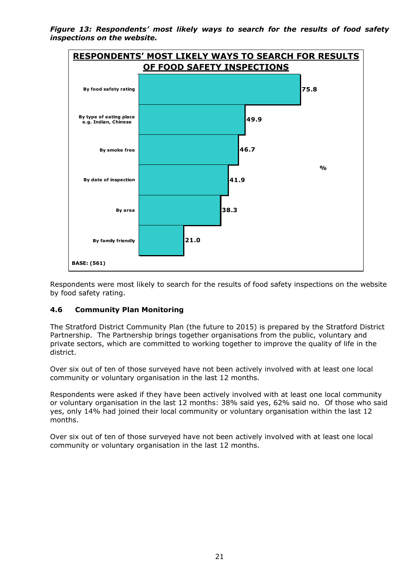*Figure 13: Respondents' most likely ways to search for the results of food safety inspections on the website.* 



Respondents were most likely to search for the results of food safety inspections on the website by food safety rating.

# **4.6 Community Plan Monitoring**

The Stratford District Community Plan (the future to 2015) is prepared by the Stratford District Partnership. The Partnership brings together organisations from the public, voluntary and private sectors, which are committed to working together to improve the quality of life in the district.

Over six out of ten of those surveyed have not been actively involved with at least one local community or voluntary organisation in the last 12 months.

Respondents were asked if they have been actively involved with at least one local community or voluntary organisation in the last 12 months: 38% said yes, 62% said no. Of those who said yes, only 14% had joined their local community or voluntary organisation within the last 12 months.

Over six out of ten of those surveyed have not been actively involved with at least one local community or voluntary organisation in the last 12 months.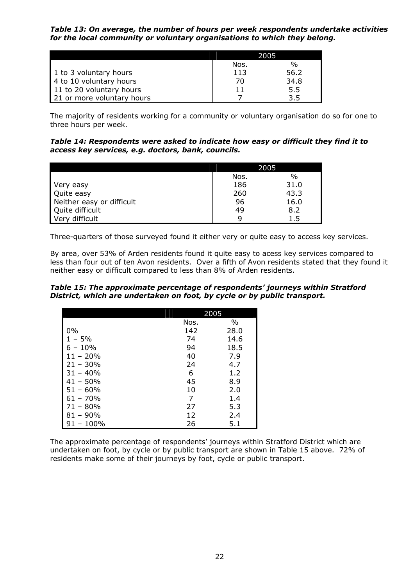*Table 13: On average, the number of hours per week respondents undertake activities for the local community or voluntary organisations to which they belong.* 

|                            | 2005 |      |
|----------------------------|------|------|
|                            | Nos. | $\%$ |
| 1 to 3 voluntary hours     | 113  | 56.2 |
| 4 to 10 voluntary hours    | 70   | 34.8 |
| 11 to 20 voluntary hours   | 11   | 5.5  |
| 21 or more voluntary hours |      | 3.5  |

The majority of residents working for a community or voluntary organisation do so for one to three hours per week.

*Table 14: Respondents were asked to indicate how easy or difficult they find it to access key services, e.g. doctors, bank, councils.* 

|                           | 2005 |      |  |
|---------------------------|------|------|--|
|                           | Nos. | $\%$ |  |
| Very easy                 | 186  | 31.0 |  |
| Quite easy                | 260  | 43.3 |  |
| Neither easy or difficult | 96   | 16.0 |  |
| Quite difficult           | 49   | 8.2  |  |
| Very difficult            | q    | 1.5  |  |

Three-quarters of those surveyed found it either very or quite easy to access key services.

By area, over 53% of Arden residents found it quite easy to acess key services compared to less than four out of ten Avon residents. Over a fifth of Avon residents stated that they found it neither easy or difficult compared to less than 8% of Arden residents.

*Table 15: The approximate percentage of respondents' journeys within Stratford District, which are undertaken on foot, by cycle or by public transport.* 

|             | 2005 |               |
|-------------|------|---------------|
|             | Nos. | $\frac{0}{0}$ |
| $0\%$       | 142  | 28.0          |
| $-5%$       | 74   | 14.6          |
| $6 - 10\%$  | 94   | 18.5          |
| $11 - 20%$  | 40   | 7.9           |
| $21 - 30\%$ | 24   | 4.7           |
| $31 - 40\%$ | 6    | 1.2           |
| $41 - 50\%$ | 45   | 8.9           |
| $51 - 60%$  | 10   | 2.0           |
| $61 - 70\%$ | 7    | 1.4           |
| $71 - 80\%$ | 27   | 5.3           |
| $81 - 90\%$ | 12   | 2.4           |
| $-100%$     | 26   | 5.1           |

The approximate percentage of respondents' journeys within Stratford District which are undertaken on foot, by cycle or by public transport are shown in Table 15 above. 72% of residents make some of their journeys by foot, cycle or public transport.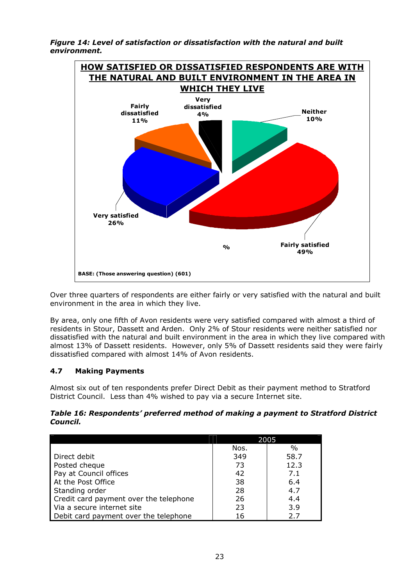*Figure 14: Level of satisfaction or dissatisfaction with the natural and built environment.* 



Over three quarters of respondents are either fairly or very satisfied with the natural and built environment in the area in which they live.

By area, only one fifth of Avon residents were very satisfied compared with almost a third of residents in Stour, Dassett and Arden. Only 2% of Stour residents were neither satisfied nor dissatisfied with the natural and built environment in the area in which they live compared with almost 13% of Dassett residents. However, only 5% of Dassett residents said they were fairly dissatisfied compared with almost 14% of Avon residents.

# **4.7 Making Payments**

Almost six out of ten respondents prefer Direct Debit as their payment method to Stratford District Council. Less than 4% wished to pay via a secure Internet site.

#### *Table 16: Respondents' preferred method of making a payment to Stratford District Council.*

|                                        | 2005 |      |
|----------------------------------------|------|------|
|                                        | Nos. | $\%$ |
| Direct debit                           | 349  | 58.7 |
| Posted cheque                          | 73   | 12.3 |
| Pay at Council offices                 | 42   | 7.1  |
| At the Post Office                     | 38   | 6.4  |
| Standing order                         | 28   | 4.7  |
| Credit card payment over the telephone | 26   | 4.4  |
| Via a secure internet site             | 23   | 3.9  |
| Debit card payment over the telephone  | 16   | 2.7  |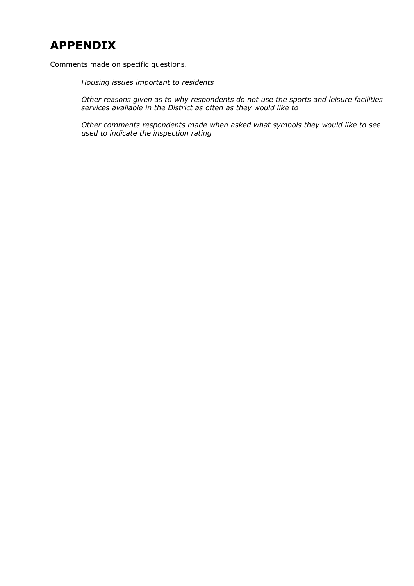# **APPENDIX**

Comments made on specific questions.

*Housing issues important to residents* 

*Other reasons given as to why respondents do not use the sports and leisure facilities services available in the District as often as they would like to* 

*Other comments respondents made when asked what symbols they would like to see used to indicate the inspection rating*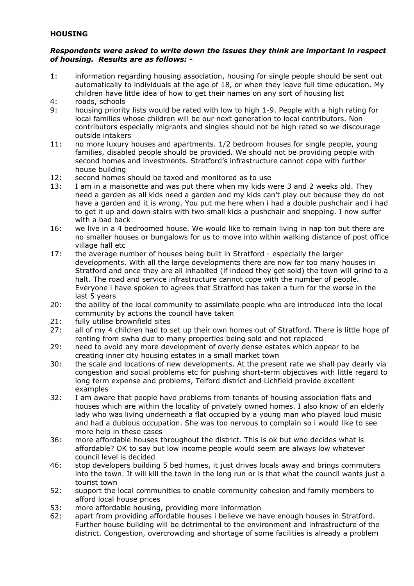# **HOUSING**

# *Respondents were asked to write down the issues they think are important in respect of housing. Results are as follows: -*

- 1: information regarding housing association, housing for single people should be sent out automatically to individuals at the age of 18, or when they leave full time education. My children have little idea of how to get their names on any sort of housing list
- 4: roads, schools
- 9: housing priority lists would be rated with low to high 1-9. People with a high rating for local families whose children will be our next generation to local contributors. Non contributors especially migrants and singles should not be high rated so we discourage outside intakers
- 11: no more luxury houses and apartments. 1/2 bedroom houses for single people, young families, disabled people should be provided. We should not be providing people with second homes and investments. Stratford's infrastructure cannot cope with further house building
- 12: second homes should be taxed and monitored as to use
- 13: I am in a maisonette and was put there when my kids were 3 and 2 weeks old. They need a garden as all kids need a garden and my kids can't play out because they do not have a garden and it is wrong. You put me here when i had a double pushchair and i had to get it up and down stairs with two small kids a pushchair and shopping. I now suffer with a bad back
- 16: we live in a 4 bedroomed house. We would like to remain living in nap ton but there are no smaller houses or bungalows for us to move into within walking distance of post office village hall etc
- 17: the average number of houses being built in Stratford especially the larger developments. With all the large developments there are now far too many houses in Stratford and once they are all inhabited (if indeed they get sold) the town will grind to a halt. The road and service infrastructure cannot cope with the number of people. Everyone i have spoken to agrees that Stratford has taken a turn for the worse in the last 5 years
- 20: the ability of the local community to assimilate people who are introduced into the local community by actions the council have taken
- 21: fully utilise brownfield sites
- 27: all of my 4 children had to set up their own homes out of Stratford. There is little hope pf renting from swha due to many properties being sold and not replaced
- 29: need to avoid any more development of overly dense estates which appear to be creating inner city housing estates in a small market town
- 30: the scale and locations of new developments. At the present rate we shall pay dearly via congestion and social problems etc for pushing short-term objectives with little regard to long term expense and problems, Telford district and Lichfield provide excellent examples
- 32: I am aware that people have problems from tenants of housing association flats and houses which are within the locality of privately owned homes. I also know of an elderly lady who was living underneath a flat occupied by a young man who played loud music and had a dubious occupation. She was too nervous to complain so i would like to see more help in these cases
- 36: more affordable houses throughout the district. This is ok but who decides what is affordable? OK to say but low income people would seem are always low whatever council level is decided
- 46: stop developers building 5 bed homes, it just drives locals away and brings commuters into the town. It will kill the town in the long run or is that what the council wants just a tourist town
- 52: support the local communities to enable community cohesion and family members to afford local house prices
- 53: more affordable housing, providing more information
- 62: apart from providing affordable houses i believe we have enough houses in Stratford. Further house building will be detrimental to the environment and infrastructure of the district. Congestion, overcrowding and shortage of some facilities is already a problem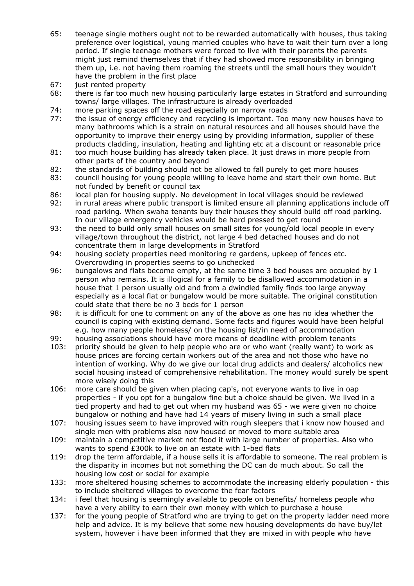- 65: teenage single mothers ought not to be rewarded automatically with houses, thus taking preference over logistical, young married couples who have to wait their turn over a long period. If single teenage mothers were forced to live with their parents the parents might just remind themselves that if they had showed more responsibility in bringing them up, i.e. not having them roaming the streets until the small hours they wouldn't have the problem in the first place
- 67: just rented property
- 68: there is far too much new housing particularly large estates in Stratford and surrounding towns/ large villages. The infrastructure is already overloaded
- 74: more parking spaces off the road especially on narrow roads
- 77: the issue of energy efficiency and recycling is important. Too many new houses have to many bathrooms which is a strain on natural resources and all houses should have the opportunity to improve their energy using by providing information, supplier of these products cladding, insulation, heating and lighting etc at a discount or reasonable price
- 81: too much house building has already taken place. It just draws in more people from other parts of the country and beyond
- 82: the standards of building should not be allowed to fall purely to get more houses
- 83: council housing for young people willing to leave home and start their own home. But not funded by benefit or council tax
- 86: local plan for housing supply. No development in local villages should be reviewed
- 92: in rural areas where public transport is limited ensure all planning applications include off road parking. When swaha tenants buy their houses they should build off road parking. In our village emergency vehicles would be hard pressed to get round
- 93: the need to build only small houses on small sites for young/old local people in every village/town throughout the district, not large 4 bed detached houses and do not concentrate them in large developments in Stratford
- 94: housing society properties need monitoring re gardens, upkeep of fences etc. Overcrowding in properties seems to go unchecked
- 96: bungalows and flats become empty, at the same time 3 bed houses are occupied by 1 person who remains. It is illogical for a family to be disallowed accommodation in a house that 1 person usually old and from a dwindled family finds too large anyway especially as a local flat or bungalow would be more suitable. The original constitution could state that there be no 3 beds for 1 person
- 98: it is difficult for one to comment on any of the above as one has no idea whether the council is coping with existing demand. Some facts and figures would have been helpful e.g. how many people homeless/ on the housing list/in need of accommodation
- 99: housing associations should have more means of deadline with problem tenants
- 103: priority should be given to help people who are or who want (really want) to work as house prices are forcing certain workers out of the area and not those who have no intention of working. Why do we give our local drug addicts and dealers/ alcoholics new social housing instead of comprehensive rehabilitation. The money would surely be spent more wisely doing this
- 106: more care should be given when placing cap's, not everyone wants to live in oap properties - if you opt for a bungalow fine but a choice should be given. We lived in a tied property and had to get out when my husband was 65 - we were given no choice bungalow or nothing and have had 14 years of misery living in such a small place
- 107: housing issues seem to have improved with rough sleepers that i know now housed and single men with problems also now housed or moved to more suitable area
- 109: maintain a competitive market not flood it with large number of properties. Also who wants to spend £300k to live on an estate with 1-bed flats
- 119: drop the term affordable, if a house sells it is affordable to someone. The real problem is the disparity in incomes but not something the DC can do much about. So call the housing low cost or social for example
- 133: more sheltered housing schemes to accommodate the increasing elderly population this to include sheltered villages to overcome the fear factors
- 134: i feel that housing is seemingly available to people on benefits/ homeless people who have a very ability to earn their own money with which to purchase a house
- 137: for the young people of Stratford who are trying to get on the property ladder need more help and advice. It is my believe that some new housing developments do have buy/let system, however i have been informed that they are mixed in with people who have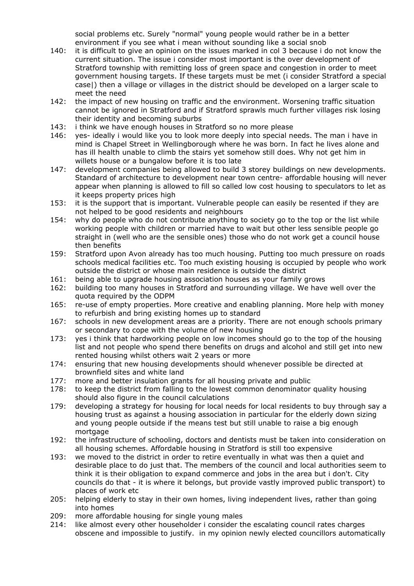social problems etc. Surely "normal" young people would rather be in a better environment if you see what i mean without sounding like a social snob

- 140: it is difficult to give an opinion on the issues marked in col 3 because i do not know the current situation. The issue i consider most important is the over development of Stratford township with remitting loss of green space and congestion in order to meet government housing targets. If these targets must be met (i consider Stratford a special case|) then a village or villages in the district should be developed on a larger scale to meet the need
- 142: the impact of new housing on traffic and the environment. Worsening traffic situation cannot be ignored in Stratford and if Stratford sprawls much further villages risk losing their identity and becoming suburbs
- 143: i think we have enough houses in Stratford so no more please
- 146: yes- ideally i would like you to look more deeply into special needs. The man i have in mind is Chapel Street in Wellingborough where he was born. In fact he lives alone and has ill health unable to climb the stairs yet somehow still does. Why not get him in willets house or a bungalow before it is too late
- 147: development companies being allowed to build 3 storey buildings on new developments. Standard of architecture to development near town centre- affordable housing will never appear when planning is allowed to fill so called low cost housing to speculators to let as it keeps property prices high
- 153: it is the support that is important. Vulnerable people can easily be resented if they are not helped to be good residents and neighbours
- 154: why do people who do not contribute anything to society go to the top or the list while working people with children or married have to wait but other less sensible people go straight in (well who are the sensible ones) those who do not work get a council house then benefits
- 159: Stratford upon Avon already has too much housing. Putting too much pressure on roads schools medical facilities etc. Too much existing housing is occupied by people who work outside the district or whose main residence is outside the district
- 161: being able to upgrade housing association houses as your family grows
- 162: building too many houses in Stratford and surrounding village. We have well over the quota required by the ODPM
- 165: re-use of empty properties. More creative and enabling planning. More help with money to refurbish and bring existing homes up to standard
- 167: schools in new development areas are a priority. There are not enough schools primary or secondary to cope with the volume of new housing
- 173: yes i think that hardworking people on low incomes should go to the top of the housing list and not people who spend there benefits on drugs and alcohol and still get into new rented housing whilst others wait 2 years or more
- 174: ensuring that new housing developments should whenever possible be directed at brownfield sites and white land
- 177: more and better insulation grants for all housing private and public
- 178: to keep the district from falling to the lowest common denominator quality housing should also figure in the council calculations
- 179: developing a strategy for housing for local needs for local residents to buy through say a housing trust as against a housing association in particular for the elderly down sizing and young people outside if the means test but still unable to raise a big enough mortgage
- 192: the infrastructure of schooling, doctors and dentists must be taken into consideration on all housing schemes. Affordable housing in Stratford is still too expensive
- 193: we moved to the district in order to retire eventually in what was then a quiet and desirable place to do just that. The members of the council and local authorities seem to think it is their obligation to expand commerce and jobs in the area but i don't. City councils do that - it is where it belongs, but provide vastly improved public transport) to places of work etc
- 205: helping elderly to stay in their own homes, living independent lives, rather than going into homes
- 209: more affordable housing for single young males
- 214: like almost every other householder i consider the escalating council rates charges obscene and impossible to justify. in my opinion newly elected councillors automatically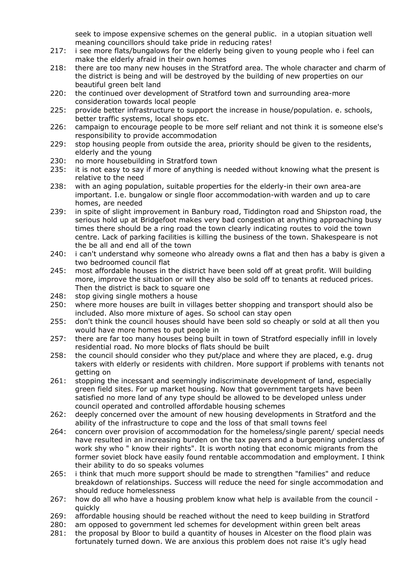seek to impose expensive schemes on the general public. in a utopian situation well meaning councillors should take pride in reducing rates!

- 217: i see more flats/bungalows for the elderly being given to young people who i feel can make the elderly afraid in their own homes
- 218: there are too many new houses in the Stratford area. The whole character and charm of the district is being and will be destroyed by the building of new properties on our beautiful green belt land
- 220: the continued over development of Stratford town and surrounding area-more consideration towards local people
- 225: provide better infrastructure to support the increase in house/population. e. schools, better traffic systems, local shops etc.
- 226: campaign to encourage people to be more self reliant and not think it is someone else's responsibility to provide accommodation
- 229: stop housing people from outside the area, priority should be given to the residents, elderly and the young
- 230: no more housebuilding in Stratford town
- 235: it is not easy to say if more of anything is needed without knowing what the present is relative to the need
- 238: with an aging population, suitable properties for the elderly-in their own area-are important. I.e. bungalow or single floor accommodation-with warden and up to care homes, are needed
- 239: in spite of slight improvement in Banbury road, Tiddington road and Shipston road, the serious hold up at Bridgefoot makes very bad congestion at anything approaching busy times there should be a ring road the town clearly indicating routes to void the town centre. Lack of parking facilities is killing the business of the town. Shakespeare is not the be all and end all of the town
- 240: i can't understand why someone who already owns a flat and then has a baby is given a two bedroomed council flat
- 245: most affordable houses in the district have been sold off at great profit. Will building more, improve the situation or will they also be sold off to tenants at reduced prices. Then the district is back to square one
- 248: stop giving single mothers a house
- 250: where more houses are built in villages better shopping and transport should also be included. Also more mixture of ages. So school can stay open
- 255: don't think the council houses should have been sold so cheaply or sold at all then you would have more homes to put people in
- 257: there are far too many houses being built in town of Stratford especially infill in lovely residential road. No more blocks of flats should be built
- 258: the council should consider who they put/place and where they are placed, e.g. drug takers with elderly or residents with children. More support if problems with tenants not getting on
- 261: stopping the incessant and seemingly indiscriminate development of land, especially green field sites. For up market housing. Now that government targets have been satisfied no more land of any type should be allowed to be developed unless under council operated and controlled affordable housing schemes
- 262: deeply concerned over the amount of new housing developments in Stratford and the ability of the infrastructure to cope and the loss of that small towns feel
- 264: concern over provision of accommodation for the homeless/single parent/ special needs have resulted in an increasing burden on the tax payers and a burgeoning underclass of work shy who " know their rights". It is worth noting that economic migrants from the former soviet block have easily found rentable accommodation and employment. I think their ability to do so speaks volumes
- 265: i think that much more support should be made to strengthen "families" and reduce breakdown of relationships. Success will reduce the need for single accommodation and should reduce homelessness
- 267: how do all who have a housing problem know what help is available from the council quickly
- 269: affordable housing should be reached without the need to keep building in Stratford
- 280: am opposed to government led schemes for development within green belt areas
- 281: the proposal by Bloor to build a quantity of houses in Alcester on the flood plain was fortunately turned down. We are anxious this problem does not raise it's ugly head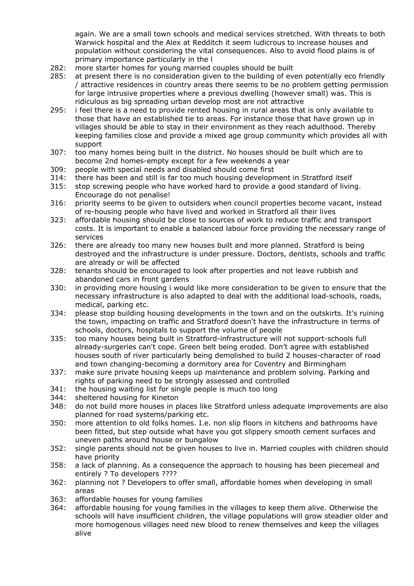again. We are a small town schools and medical services stretched. With threats to both Warwick hospital and the Alex at Redditch it seem ludicrous to increase houses and population without considering the vital consequences. Also to avoid flood plains is of primary importance particularly in the l

- 282: more starter homes for young married couples should be built
- 285: at present there is no consideration given to the building of even potentially eco friendly / attractive residences in country areas there seems to be no problem getting permission for large intrusive properties where a previous dwelling (however small) was. This is ridiculous as big spreading urban develop most are not attractive
- 295: i feel there is a need to provide rented housing in rural areas that is only available to those that have an established tie to areas. For instance those that have grown up in villages should be able to stay in their environment as they reach adulthood. Thereby keeping families close and provide a mixed age group community which provides all with support
- 307: too many homes being built in the district. No houses should be built which are to become 2nd homes-empty except for a few weekends a year
- 309: people with special needs and disabled should come first
- 314: there has been and still is far too much housing development in Stratford itself
- 315: stop screwing people who have worked hard to provide a good standard of living. Encourage do not penalise!
- 316: priority seems to be given to outsiders when council properties become vacant, instead of re-housing people who have lived and worked in Stratford all their lives
- 323: affordable housing should be close to sources of work to reduce traffic and transport costs. It is important to enable a balanced labour force providing the necessary range of services
- 326: there are already too many new houses built and more planned. Stratford is being destroyed and the infrastructure is under pressure. Doctors, dentists, schools and traffic are already or will be affected
- 328: tenants should be encouraged to look after properties and not leave rubbish and abandoned cars in front gardens
- 330: in providing more housing i would like more consideration to be given to ensure that the necessary infrastructure is also adapted to deal with the additional load-schools, roads, medical, parking etc.
- 334: please stop building housing developments in the town and on the outskirts. It's ruining the town, impacting on traffic and Stratford doesn't have the infrastructure in terms of schools, doctors, hospitals to support the volume of people
- 335: too many houses being built in Stratford-infrastructure will not support-schools full already-surgeries can't cope. Green belt being eroded. Don't agree with established houses south of river particularly being demolished to build 2 houses-character of road and town changing-becoming a dormitory area for Coventry and Birmingham
- 337: make sure private housing keeps up maintenance and problem solving. Parking and rights of parking need to be strongly assessed and controlled
- 341: the housing waiting list for single people is much too long
- 344: sheltered housing for Kineton
- 348: do not build more houses in places like Stratford unless adequate improvements are also planned for road systems/parking etc.
- 350: more attention to old folks homes. I.e. non slip floors in kitchens and bathrooms have been fitted, but step outside what have you got slippery smooth cement surfaces and uneven paths around house or bungalow
- 352: single parents should not be given houses to live in. Married couples with children should have priority
- 358: a lack of planning. As a consequence the approach to housing has been piecemeal and entirely ? To developers ????
- 362: planning not ? Developers to offer small, affordable homes when developing in small areas
- 363: affordable houses for young families
- 364: affordable housing for young families in the villages to keep them alive. Otherwise the schools will have insufficient children, the village populations will grow steadier older and more homogenous villages need new blood to renew themselves and keep the villages alive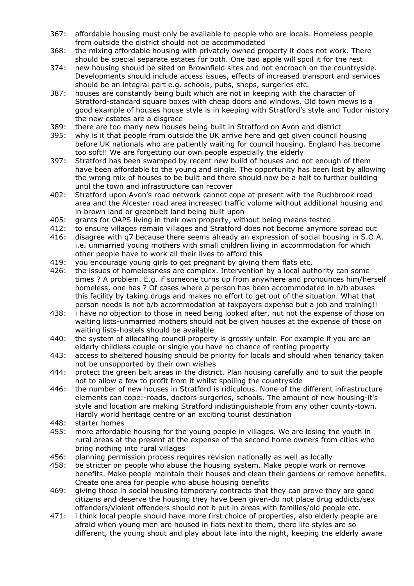- 367: affordable housing must only be available to people who are locals. Homeless people from outside the district should not be accommodated
- 368: the mixing affordable housing with privately owned property it does not work. There should be special separate estates for both. One bad apple will spoil it for the rest
- 374: new housing should be sited on Brownfield sites and not encroach on the countryside. Developments should include access issues, effects of increased transport and services should be an integral part e.g. schools, pubs, shops, surgeries etc.
- 387: houses are constantly being built which are not in keeping with the character of Stratford-standard square boxes with cheap doors and windows. Old town mews is a good example of houses house style is in keeping with Stratford's style and Tudor history the new estates are a disgrace
- 389: there are too many new houses being built in Stratford on Avon and district
- 395: why is it that people from outside the UK arrive here and get given council housing before UK nationals who are patiently waiting for council housing. England has become too soft!! We are forgetting our own people especially the elderly
- 397: Stratford has been swamped by recent new build of houses and not enough of them have been affordable to the young and single. The opportunity has been lost by allowing the wrong mix of houses to be built and there should now be a halt to further building until the town and infrastructure can recover
- 402: Stratford upon Avon's road network cannot cope at present with the Ruchbrook road area and the Alcester road area increased traffic volume without additional housing and in brown land or greenbelt land being built upon
- 405: grants for OAPS living in their own property, without being means tested
- 412: to ensure villages remain villages and Stratford does not become anymore spread out
- 416: disagree with q7 because there seems already an expression of social housing in S.O.A. i.e. unmarried young mothers with small children living in accommodation for which other people have to work all their lives to afford this
- 419: you encourage young girls to get pregnant by giving them flats etc.
- 426: the issues of homelessness are complex. Intervention by a local authority can some times ? A problem. E.g. if someone turns up from anywhere and pronounces him/herself homeless, one has ? Of cases where a person has been accommodated in b/b abuses this facility by taking drugs and makes no effort to get out of the situation. What that person needs is not b/b accommodation at taxpayers expense but a job and training!!
- 438: i have no objection to those in need being looked after, nut not the expense of those on waiting lists-unmarried mothers should not be given houses at the expense of those on waiting lists-hostels should be available
- 440: the system of allocating council property is grossly unfair. For example if you are an elderly childless couple or single you have no chance of renting property
- 443: access to sheltered housing should be priority for locals and should when tenancy taken not be unsupported by their own wishes
- 444: protect the green belt areas in the district. Plan housing carefully and to suit the people not to allow a few to profit from it whilst spoiling the countryside
- 446: the number of new houses in Stratford is ridiculous. None of the different infrastructure elements can cope:-roads, doctors surgeries, schools. The amount of new housing-it's style and location are making Stratford indistinguishable from any other county-town. Hardly world heritage centre or an exciting tourist destination
- 448: starter homes
- 455: more affordable housing for the young people in villages. We are losing the youth in rural areas at the present at the expense of the second home owners from cities who bring nothing into rural villages
- 456: planning permission process requires revision nationally as well as locally
- 458: be stricter on people who abuse the housing system. Make people work or remove benefits. Make people maintain their houses and clean their gardens or remove benefits. Create one area for people who abuse housing benefits
- 469: giving those in social housing temporary contracts that they can prove they are good citizens and deserve the housing they have been given-do not place drug addicts/sex offenders/violent offenders should not b put in areas with families/old people etc.
- 471: i think local people should have more first choice of properties, also elderly people are afraid when young men are housed in flats next to them, there life styles are so different, the young shout and play about late into the night, keeping the elderly aware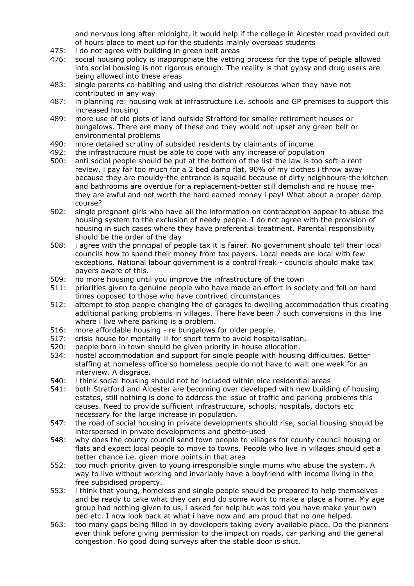and nervous long after midnight, it would help if the college in Alcester road provided out of hours place to meet up for the students mainly overseas students

- 475: i do not agree with building in green belt areas
- 476: social housing policy is inappropriate the vetting process for the type of people allowed into social housing is not rigorous enough. The reality is that gypsy and drug users are being allowed into these areas
- 483: single parents co-habiting and using the district resources when they have not contributed in any way
- 487: in planning re: housing wok at infrastructure i.e. schools and GP premises to support this increased housing
- 489: more use of old plots of land outside Stratford for smaller retirement houses or bungalows. There are many of these and they would not upset any green belt or environmental problems
- 490: more detailed scrutiny of subsided residents by claimants of income
- 492: the infrastructure must be able to cope with any increase of population
- 500: anti social people should be put at the bottom of the list-the law is too soft-a rent review, i pay far too much for a 2 bed damp flat. 90% of my clothes i throw away because they are mouldy-the entrance is squalid because of dirty neighbours-the kitchen and bathrooms are overdue for a replacement-better still demolish and re house methey are awful and not worth the hard earned money i pay! What about a proper damp course?
- 502: single pregnant girls who have all the information on contraception appear to abuse the housing system to the exclusion of needy people. I do not agree with the provision of housing in such cases where they have preferential treatment. Parental responsibility should be the order of the day
- 508: i agree with the principal of people tax it is fairer. No government should tell their local councils how to spend their money from tax payers. Local needs are local with few exceptions. National labour government is a control freak - councils should make tax payers aware of this.
- 509: no more housing until you improve the infrastructure of the town
- 511: priorities given to genuine people who have made an effort in society and fell on hard times opposed to those who have contrived circumstances
- 512: attempt to stop people changing the of garages to dwelling accommodation thus creating additional parking problems in villages. There have been 7 such conversions in this line where i live where parking is a problem.
- 516: more affordable housing re bungalows for older people.
- 517: crisis house for mentally ill for short term to avoid hospitalisation.
- 520: people born in town should be given priority in house allocation.
- 534: hostel accommodation and support for single people with housing difficulties. Better staffing at homeless office so homeless people do not have to wait one week for an interview. A disgrace.
- 540: i think social housing should not be included within nice residential areas
- 541: both Stratford and Alcester are becoming over developed with new building of housing estates, still nothing is done to address the issue of traffic and parking problems this causes. Need to provide sufficient infrastructure, schools, hospitals, doctors etc necessary for the large increase in population.
- 547: the road of social housing in private developments should rise, social housing should be interspersed in private developments and ghetto-used
- 548: why does the county council send town people to villages for county council housing or flats and expect local people to move to towns. People who live in villages should get a better chance i.e. given more points in that area
- 552: too much priority given to young irresponsible single mums who abuse the system. A way to live without working and invariably have a boyfriend with income living in the free subsidised property.
- 553: i think that young, homeless and single people should be prepared to help themselves and be ready to take what they can and do some work to make a place a home. My age group had nothing given to us, i asked for help but was told you have make your own bed etc. I now look back at what i have now and am proud that no one helped.
- 563: too many gaps being filled in by developers taking every available place. Do the planners ever think before giving permission to the impact on roads, car parking and the general congestion. No good doing surveys after the stable door is shut.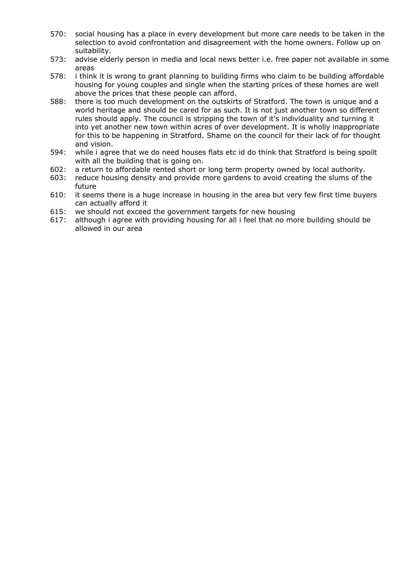- 570: social housing has a place in every development but more care needs to be taken in the selection to avoid confrontation and disagreement with the home owners. Follow up on suitability.
- 573: advise elderly person in media and local news better i.e. free paper not available in some areas
- 578: i think it is wrong to grant planning to building firms who claim to be building affordable housing for young couples and single when the starting prices of these homes are well above the prices that these people can afford.
- 588: there is too much development on the outskirts of Stratford. The town is unique and a world heritage and should be cared for as such. It is not just another town so different rules should apply. The council is stripping the town of it's individuality and turning it into yet another new town within acres of over development. It is wholly inappropriate for this to be happening in Stratford. Shame on the council for their lack of for thought and vision.
- 594: while i agree that we do need houses flats etc id do think that Stratford is being spoilt with all the building that is going on.
- 602: a return to affordable rented short or long term property owned by local authority.
- 603: reduce housing density and provide more gardens to avoid creating the slums of the future
- 610: it seems there is a huge increase in housing in the area but very few first time buyers can actually afford it
- 615: we should not exceed the government targets for new housing
- 617: although i agree with providing housing for all i feel that no more building should be allowed in our area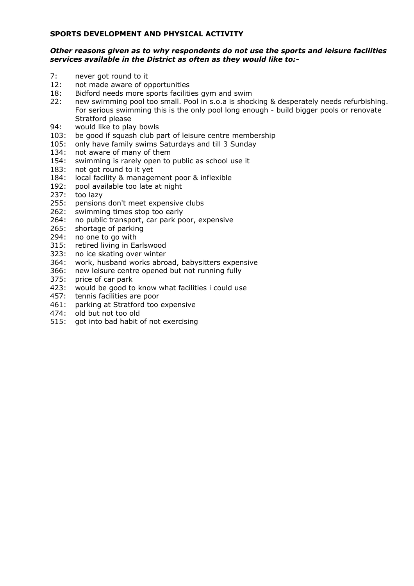# **SPORTS DEVELOPMENT AND PHYSICAL ACTIVITY**

# *Other reasons given as to why respondents do not use the sports and leisure facilities services available in the District as often as they would like to:-*

- 7: never got round to it
- 12: not made aware of opportunities
- 18: Bidford needs more sports facilities gym and swim
- 22: new swimming pool too small. Pool in s.o.a is shocking & desperately needs refurbishing. For serious swimming this is the only pool long enough - build bigger pools or renovate Stratford please
- 94: would like to play bowls
- 103: be good if squash club part of leisure centre membership
- 105: only have family swims Saturdays and till 3 Sunday
- 134: not aware of many of them
- 154: swimming is rarely open to public as school use it
- 183: not got round to it yet
- 184: local facility & management poor & inflexible
- 192: pool available too late at night
- 237: too lazy
- 255: pensions don't meet expensive clubs
- 262: swimming times stop too early
- 264: no public transport, car park poor, expensive
- 265: shortage of parking
- 294: no one to go with
- 315: retired living in Earlswood
- 323: no ice skating over winter
- 364: work, husband works abroad, babysitters expensive
- 366: new leisure centre opened but not running fully
- 375: price of car park
- 423: would be good to know what facilities i could use
- 457: tennis facilities are poor
- 461: parking at Stratford too expensive
- 474: old but not too old
- 515: got into bad habit of not exercising